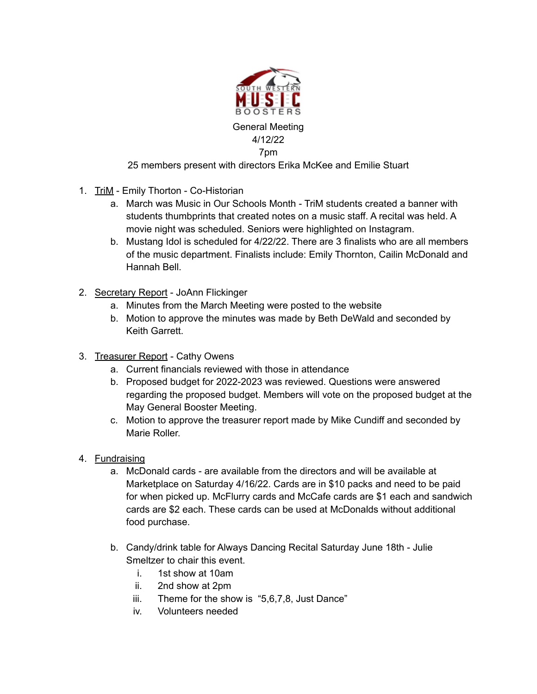

## 25 members present with directors Erika McKee and Emilie Stuart

- 1. TriM Emily Thorton Co-Historian
	- a. March was Music in Our Schools Month TriM students created a banner with students thumbprints that created notes on a music staff. A recital was held. A movie night was scheduled. Seniors were highlighted on Instagram.
	- b. Mustang Idol is scheduled for 4/22/22. There are 3 finalists who are all members of the music department. Finalists include: Emily Thornton, Cailin McDonald and Hannah Bell.
- 2. Secretary Report JoAnn Flickinger
	- a. Minutes from the March Meeting were posted to the website
	- b. Motion to approve the minutes was made by Beth DeWald and seconded by Keith Garrett.
- 3. Treasurer Report Cathy Owens
	- a. Current financials reviewed with those in attendance
	- b. Proposed budget for 2022-2023 was reviewed. Questions were answered regarding the proposed budget. Members will vote on the proposed budget at the May General Booster Meeting.
	- c. Motion to approve the treasurer report made by Mike Cundiff and seconded by Marie Roller.
- 4. Fundraising
	- a. McDonald cards are available from the directors and will be available at Marketplace on Saturday 4/16/22. Cards are in \$10 packs and need to be paid for when picked up. McFlurry cards and McCafe cards are \$1 each and sandwich cards are \$2 each. These cards can be used at McDonalds without additional food purchase.
	- b. Candy/drink table for Always Dancing Recital Saturday June 18th Julie Smeltzer to chair this event.
		- i. 1st show at 10am
		- ii. 2nd show at 2pm
		- iii. Theme for the show is "5,6,7,8, Just Dance"
		- iv. Volunteers needed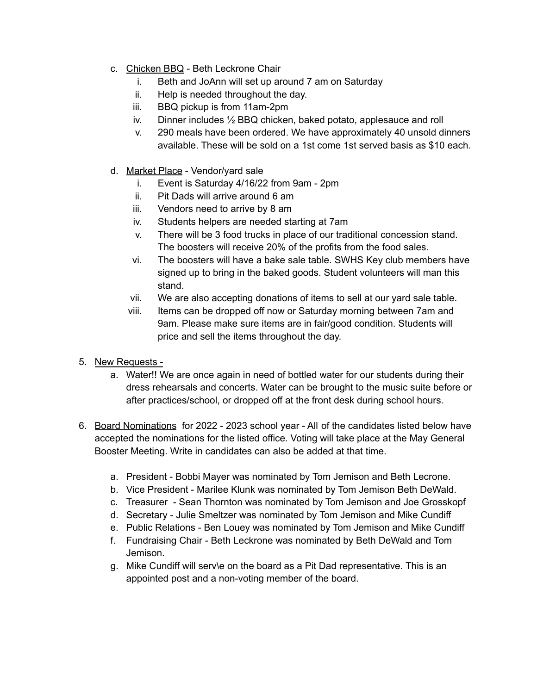- c. Chicken BBQ Beth Leckrone Chair
	- i. Beth and JoAnn will set up around 7 am on Saturday
	- ii. Help is needed throughout the day.
	- iii. BBQ pickup is from 11am-2pm
	- iv. Dinner includes ½ BBQ chicken, baked potato, applesauce and roll
	- v. 290 meals have been ordered. We have approximately 40 unsold dinners available. These will be sold on a 1st come 1st served basis as \$10 each.
- d. Market Place Vendor/yard sale
	- i. Event is Saturday 4/16/22 from 9am 2pm
	- ii. Pit Dads will arrive around 6 am
	- iii. Vendors need to arrive by 8 am
	- iv. Students helpers are needed starting at 7am
	- v. There will be 3 food trucks in place of our traditional concession stand. The boosters will receive 20% of the profits from the food sales.
	- vi. The boosters will have a bake sale table. SWHS Key club members have signed up to bring in the baked goods. Student volunteers will man this stand.
	- vii. We are also accepting donations of items to sell at our yard sale table.
	- viii. Items can be dropped off now or Saturday morning between 7am and 9am. Please make sure items are in fair/good condition. Students will price and sell the items throughout the day.
- 5. New Requests
	- a. Water!! We are once again in need of bottled water for our students during their dress rehearsals and concerts. Water can be brought to the music suite before or after practices/school, or dropped off at the front desk during school hours.
- 6. Board Nominations for 2022 2023 school year All of the candidates listed below have accepted the nominations for the listed office. Voting will take place at the May General Booster Meeting. Write in candidates can also be added at that time.
	- a. President Bobbi Mayer was nominated by Tom Jemison and Beth Lecrone.
	- b. Vice President Marilee Klunk was nominated by Tom Jemison Beth DeWald.
	- c. Treasurer Sean Thornton was nominated by Tom Jemison and Joe Grosskopf
	- d. Secretary Julie Smeltzer was nominated by Tom Jemison and Mike Cundiff
	- e. Public Relations Ben Louey was nominated by Tom Jemison and Mike Cundiff
	- f. Fundraising Chair Beth Leckrone was nominated by Beth DeWald and Tom Jemison.
	- g. Mike Cundiff will serv\e on the board as a Pit Dad representative. This is an appointed post and a non-voting member of the board.